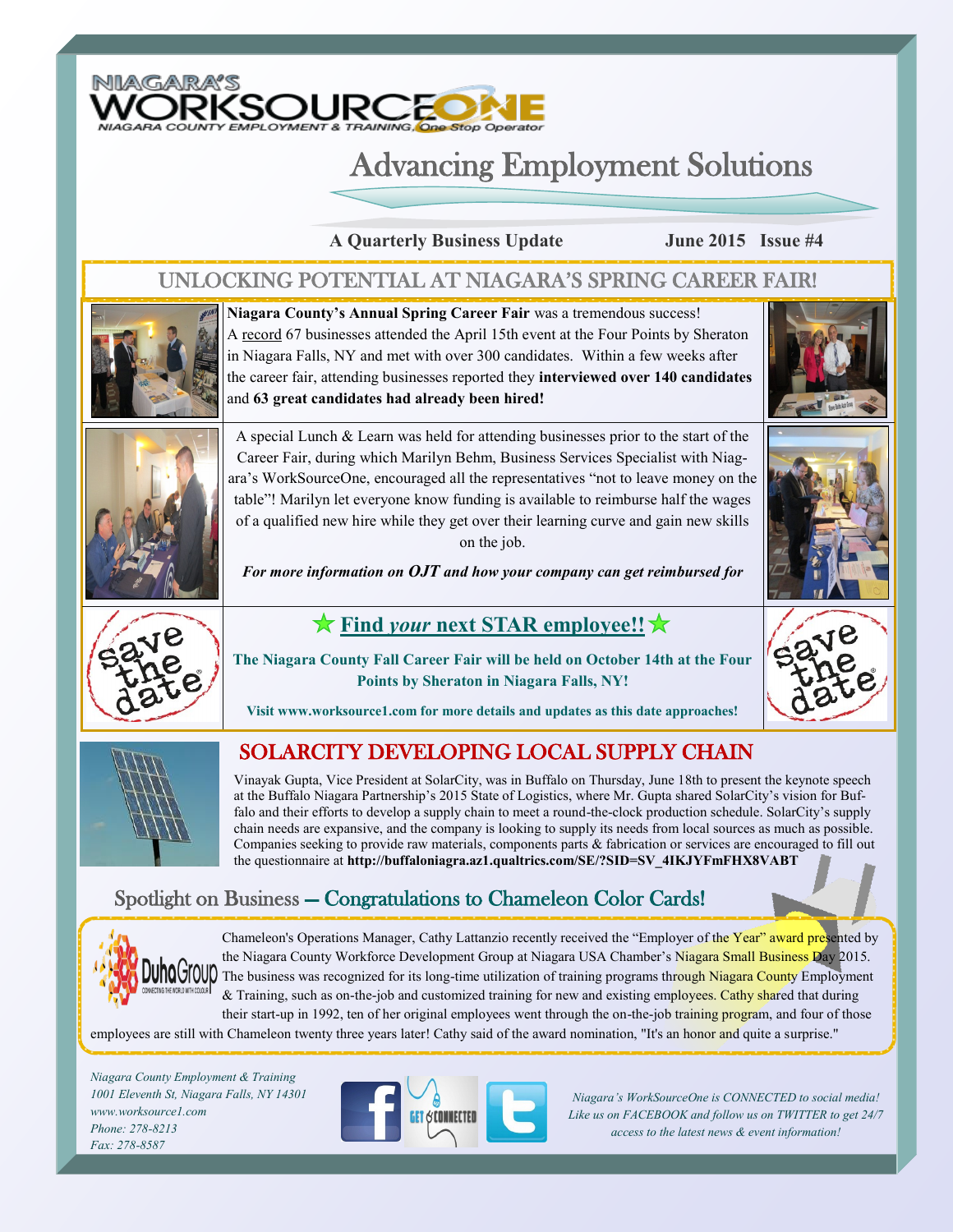

# Advancing Employment Solutions

**A Quarterly Business Update June 2015 Issue #4**

### UNLOCKING POTENTIAL AT NIAGARA'S SPRING CAREER FAIR!



**Niagara County's Annual Spring Career Fair** was a tremendous success! A record 67 businesses attended the April 15th event at the Four Points by Sheraton in Niagara Falls, NY and met with over 300 candidates. Within a few weeks after the career fair, attending businesses reported they **interviewed over 140 candidates**  and **63 great candidates had already been hired!** 





A special Lunch & Learn was held for attending businesses prior to the start of the Career Fair, during which Marilyn Behm, Business Services Specialist with Niagara's WorkSourceOne, encouraged all the representatives "not to leave money on the table"! Marilyn let everyone know funding is available to reimburse half the wages of a qualified new hire while they get over their learning curve and gain new skills on the job.

*For more information on OJT and how your company can get reimbursed for* 



## **Find** *your* **next STAR employee!!**

**The Niagara County Fall Career Fair will be held on October 14th at the Four Points by Sheraton in Niagara Falls, NY!** 



**Visit www.worksource1.com for more details and updates as this date approaches!**



### SOLARCITY DEVELOPING LOCAL SUPPLY CHAIN

Vinayak Gupta, Vice President at SolarCity, was in Buffalo on Thursday, June 18th to present the keynote speech at the Buffalo Niagara Partnership's 2015 State of Logistics, where Mr. Gupta shared SolarCity's vision for Buffalo and their efforts to develop a supply chain to meet a round-the-clock production schedule. SolarCity's supply chain needs are expansive, and the company is looking to supply its needs from local sources as much as possible. Companies seeking to provide raw materials, components parts & fabrication or services are encouraged to fill out the questionnaire at **http://buffaloniagra.az1.qualtrics.com/SE/?SID=SV\_4IKJYFmFHX8VABT**

## Spotlight on Business — Congratulations to Chameleon Color Cards!



Chameleon's Operations Manager, Cathy Lattanzio recently received the "Employer of the Year" award presented by the Niagara County Workforce Development Group at Niagara USA Chamber's Niagara Small Business Day 2015. The business was recognized for its long-time utilization of training programs through Niagara County Employment & Training, such as on-the-job and customized training for new and existing employees. Cathy shared that during their start-up in 1992, ten of her original employees went through the on-the-job training program, and four of those

employees are still with Chameleon twenty three years later! Cathy said of the award nomination, "It's an honor and quite a surprise."

*Niagara County Employment & Training 1001 Eleventh St, Niagara Falls, NY 14301 www.worksource1.com Phone: 278-8213 Fax: 278-8587*



*Niagara's WorkSourceOne is CONNECTED to social media! Like us on FACEBOOK and follow us on TWITTER to get 24/7 access to the latest news & event information!*